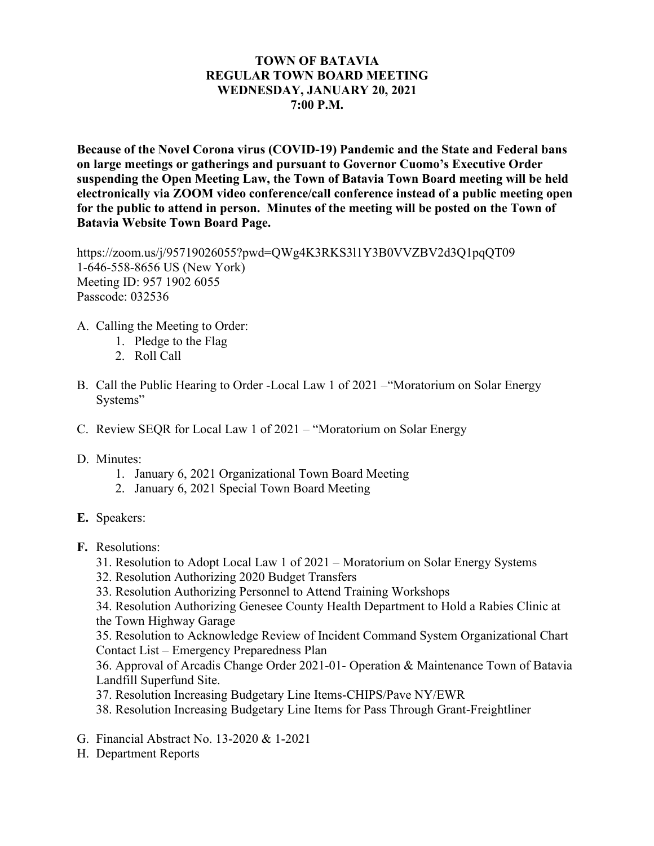## **TOWN OF BATAVIA REGULAR TOWN BOARD MEETING WEDNESDAY, JANUARY 20, 2021 7:00 P.M.**

**Because of the Novel Corona virus (COVID-19) Pandemic and the State and Federal bans on large meetings or gatherings and pursuant to Governor Cuomo's Executive Order suspending the Open Meeting Law, the Town of Batavia Town Board meeting will be held electronically via ZOOM video conference/call conference instead of a public meeting open for the public to attend in person. Minutes of the meeting will be posted on the Town of Batavia Website Town Board Page.** 

https://zoom.us/j/95719026055?pwd=QWg4K3RKS3l1Y3B0VVZBV2d3Q1pqQT09 1-646-558-8656 US (New York) Meeting ID: 957 1902 6055 Passcode: 032536

- A. Calling the Meeting to Order:
	- 1. Pledge to the Flag
	- 2. Roll Call
- B. Call the Public Hearing to Order -Local Law 1 of 2021 –"Moratorium on Solar Energy Systems"
- C. Review SEQR for Local Law 1 of 2021 "Moratorium on Solar Energy
- D. Minutes:
	- 1. January 6, 2021 Organizational Town Board Meeting
	- 2. January 6, 2021 Special Town Board Meeting
- **E.** Speakers:
- **F.** Resolutions:
	- 31. Resolution to Adopt Local Law 1 of 2021 Moratorium on Solar Energy Systems
	- 32. Resolution Authorizing 2020 Budget Transfers
	- 33. Resolution Authorizing Personnel to Attend Training Workshops

34. Resolution Authorizing Genesee County Health Department to Hold a Rabies Clinic at the Town Highway Garage

35. Resolution to Acknowledge Review of Incident Command System Organizational Chart Contact List – Emergency Preparedness Plan

36. Approval of Arcadis Change Order 2021-01- Operation & Maintenance Town of Batavia Landfill Superfund Site.

- 37. Resolution Increasing Budgetary Line Items-CHIPS/Pave NY/EWR
- 38. Resolution Increasing Budgetary Line Items for Pass Through Grant-Freightliner
- G. Financial Abstract No. 13-2020 & 1-2021
- H. Department Reports